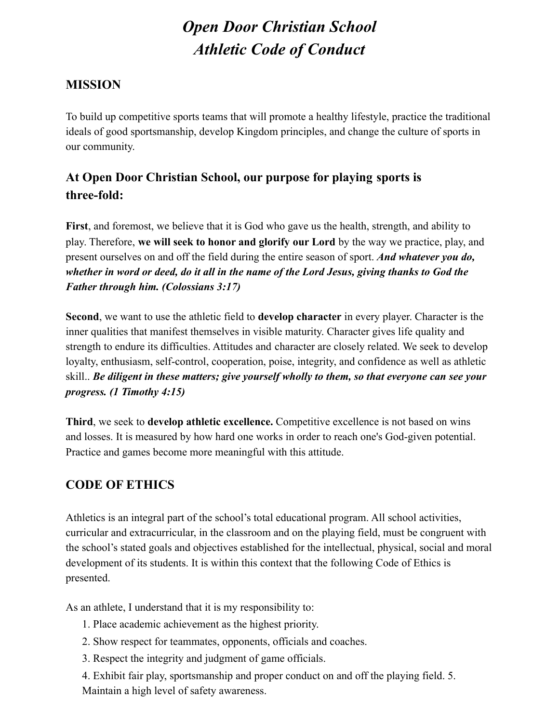# *Open Door Christian School Athletic Code of Conduct*

#### **MISSION**

To build up competitive sports teams that will promote a healthy lifestyle, practice the traditional ideals of good sportsmanship, develop Kingdom principles, and change the culture of sports in our community.

## **At Open Door Christian School, our purpose for playing sports is three-fold:**

**First**, and foremost, we believe that it is God who gave us the health, strength, and ability to play. Therefore, **we will seek to honor and glorify our Lord** by the way we practice, play, and present ourselves on and off the field during the entire season of sport. *And whatever you do, whether in word or deed, do it all in the name of the Lord Jesus, giving thanks to God the Father through him. (Colossians 3:17)*

**Second**, we want to use the athletic field to **develop character** in every player. Character is the inner qualities that manifest themselves in visible maturity. Character gives life quality and strength to endure its difficulties. Attitudes and character are closely related. We seek to develop loyalty, enthusiasm, self-control, cooperation, poise, integrity, and confidence as well as athletic skill.. *Be diligent in these matters; give yourself wholly to them, so that everyone can see your progress. (1 Timothy 4:15)*

**Third**, we seek to **develop athletic excellence.** Competitive excellence is not based on wins and losses. It is measured by how hard one works in order to reach one's God-given potential. Practice and games become more meaningful with this attitude.

#### **CODE OF ETHICS**

Athletics is an integral part of the school's total educational program. All school activities, curricular and extracurricular, in the classroom and on the playing field, must be congruent with the school's stated goals and objectives established for the intellectual, physical, social and moral development of its students. It is within this context that the following Code of Ethics is presented.

As an athlete, I understand that it is my responsibility to:

- 1. Place academic achievement as the highest priority.
- 2. Show respect for teammates, opponents, officials and coaches.
- 3. Respect the integrity and judgment of game officials.
- 4. Exhibit fair play, sportsmanship and proper conduct on and off the playing field. 5. Maintain a high level of safety awareness.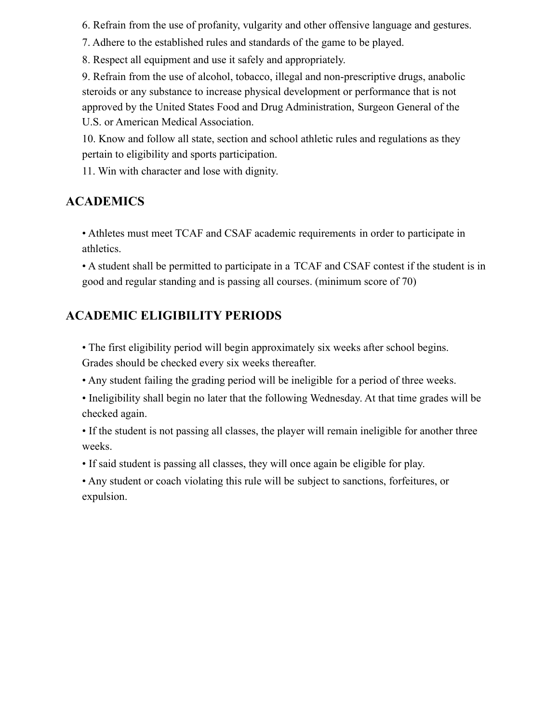6. Refrain from the use of profanity, vulgarity and other offensive language and gestures.

- 7. Adhere to the established rules and standards of the game to be played.
- 8. Respect all equipment and use it safely and appropriately.

9. Refrain from the use of alcohol, tobacco, illegal and non-prescriptive drugs, anabolic steroids or any substance to increase physical development or performance that is not approved by the United States Food and Drug Administration, Surgeon General of the U.S. or American Medical Association.

10. Know and follow all state, section and school athletic rules and regulations as they pertain to eligibility and sports participation.

11. Win with character and lose with dignity.

### **ACADEMICS**

• Athletes must meet TCAF and CSAF academic requirements in order to participate in athletics.

• A student shall be permitted to participate in a TCAF and CSAF contest if the student is in good and regular standing and is passing all courses. (minimum score of 70)

## **ACADEMIC ELIGIBILITY PERIODS**

• The first eligibility period will begin approximately six weeks after school begins. Grades should be checked every six weeks thereafter.

- Any student failing the grading period will be ineligible for a period of three weeks.
- Ineligibility shall begin no later that the following Wednesday. At that time grades will be checked again.

• If the student is not passing all classes, the player will remain ineligible for another three weeks.

• If said student is passing all classes, they will once again be eligible for play.

• Any student or coach violating this rule will be subject to sanctions, forfeitures, or expulsion.